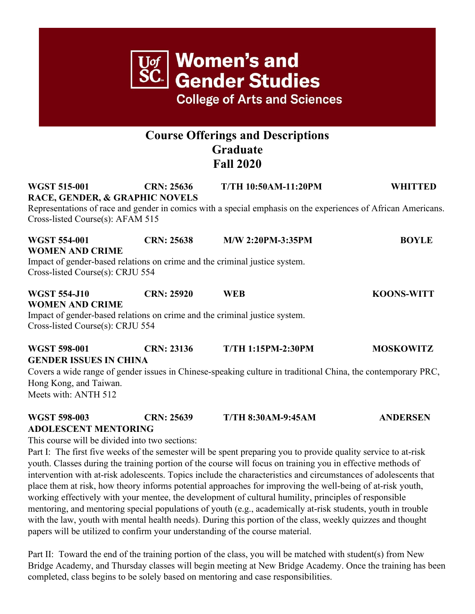# **Gender Studies College of Arts and Sciences Course Offerings and Descriptions Graduate Fall 2020 WGST 515-001 CRN: 25636 T/TH 10:50AM-11:20PM WHITTED RACE, GENDER, & GRAPHIC NOVELS** Representations of race and gender in comics with a special emphasis on the experiences of African Americans. Cross-listed Course(s): AFAM 515 **WGST 554-001 CRN: 25638 M/W 2:20PM-3:35PM BOYLE WOMEN AND CRIME** Impact of gender-based relations on crime and the criminal justice system. Cross-listed Course(s): CRJU 554 **WGST 554-J10 CRN: 25920 WEB KOONS-WITT WOMEN AND CRIME** Impact of gender-based relations on crime and the criminal justice system. Cross-listed Course(s): CRJU 554 **WGST 598-001 CRN: 23136 T/TH 1:15PM-2:30PM MOSKOWITZ GENDER ISSUES IN CHINA**

**Women's and** 

Covers a wide range of gender issues in Chinese-speaking culture in traditional China, the contemporary PRC, Hong Kong, and Taiwan. Meets with: ANTH 512

### **WGST 598-003 CRN: 25639 T/TH 8:30AM-9:45AM ANDERSEN ADOLESCENT MENTORING**

This course will be divided into two sections:

Part I: The first five weeks of the semester will be spent preparing you to provide quality service to at-risk youth. Classes during the training portion of the course will focus on training you in effective methods of intervention with at-risk adolescents. Topics include the characteristics and circumstances of adolescents that place them at risk, how theory informs potential approaches for improving the well-being of at-risk youth, working effectively with your mentee, the development of cultural humility, principles of responsible mentoring, and mentoring special populations of youth (e.g., academically at-risk students, youth in trouble with the law, youth with mental health needs). During this portion of the class, weekly quizzes and thought papers will be utilized to confirm your understanding of the course material.

Part II: Toward the end of the training portion of the class, you will be matched with student(s) from New Bridge Academy, and Thursday classes will begin meeting at New Bridge Academy. Once the training has been completed, class begins to be solely based on mentoring and case responsibilities.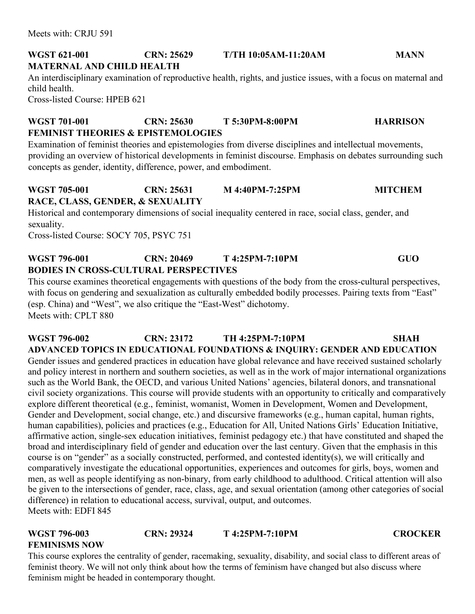#### **WGST 621-001 CRN: 25629 T/TH 10:05AM-11:20AM MANN MATERNAL AND CHILD HEALTH**

An interdisciplinary examination of reproductive health, rights, and justice issues, with a focus on maternal and child health. Cross-listed Course: HPEB 621

**WGST 701-001 CRN: 25630 T 5:30PM-8:00PM HARRISON FEMINIST THEORIES & EPISTEMOLOGIES**

Examination of feminist theories and epistemologies from diverse disciplines and intellectual movements, providing an overview of historical developments in feminist discourse. Emphasis on debates surrounding such concepts as gender, identity, difference, power, and embodiment.

#### **WGST 705-001 CRN: 25631 M 4:40PM-7:25PM MITCHEM RACE, CLASS, GENDER, & SEXUALITY**

Historical and contemporary dimensions of social inequality centered in race, social class, gender, and sexuality.

Cross-listed Course: SOCY 705, PSYC 751

#### **WGST 796-001 CRN: 20469 T 4:25PM-7:10PM GUO BODIES IN CROSS-CULTURAL PERSPECTIVES**

This course examines theoretical engagements with questions of the body from the cross-cultural perspectives, with focus on gendering and sexualization as culturally embedded bodily processes. Pairing texts from "East" (esp. China) and "West", we also critique the "East-West" dichotomy.

Meets with: CPLT 880

#### **WGST 796-002 CRN: 23172 TH 4:25PM-7:10PM SHAH ADVANCED TOPICS IN EDUCATIONAL FOUNDATIONS & INQUIRY: GENDER AND EDUCATION**  Gender issues and gendered practices in education have global relevance and have received sustained scholarly and policy interest in northern and southern societies, as well as in the work of major international organizations such as the World Bank, the OECD, and various United Nations' agencies, bilateral donors, and transnational civil society organizations. This course will provide students with an opportunity to critically and comparatively explore different theoretical (e.g., feminist, womanist, Women in Development, Women and Development, Gender and Development, social change, etc.) and discursive frameworks (e.g., human capital, human rights, human capabilities), policies and practices (e.g., Education for All, United Nations Girls' Education Initiative, affirmative action, single-sex education initiatives, feminist pedagogy etc.) that have constituted and shaped the broad and interdisciplinary field of gender and education over the last century. Given that the emphasis in this course is on "gender" as a socially constructed, performed, and contested identity(s), we will critically and comparatively investigate the educational opportunities, experiences and outcomes for girls, boys, women and men, as well as people identifying as non-binary, from early childhood to adulthood. Critical attention will also be given to the intersections of gender, race, class, age, and sexual orientation (among other categories of social difference) in relation to educational access, survival, output, and outcomes. Meets with: EDFI 845

## **WGST 796-003 CRN: 29324 T 4:25PM-7:10PM CROCKER FEMINISMS NOW**

This course explores the centrality of gender, racemaking, sexuality, disability, and social class to different areas of feminist theory. We will not only think about how the terms of feminism have changed but also discuss where feminism might be headed in contemporary thought.